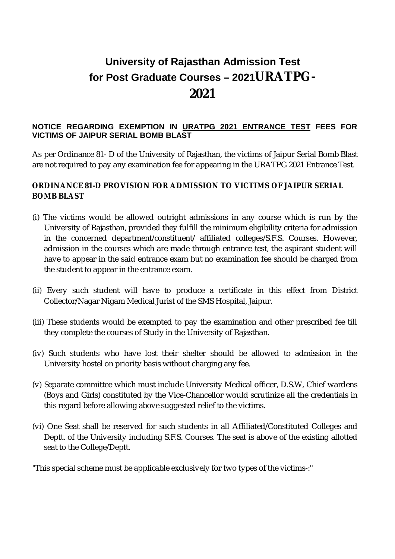## **University of Rajasthan Admission Test for Post Graduate Courses – 2021URATPG-2021**

## **NOTICE REGARDING EXEMPTION IN URATPG 2021 ENTRANCE TEST FEES FOR VICTIMS OF JAIPUR SERIAL BOMB BLAST**

As per Ordinance 81- D of the University of Rajasthan, the victims of Jaipur Serial Bomb Blast are not required to pay any examination fee for appearing in the URATPG 2021 Entrance Test.

## **ORDINANCE 81-D PROVISION FOR ADMISSION TO VICTIMS OF JAIPUR SERIAL BOMB BLAST**

- (i) The victims would be allowed outright admissions in any course which is run by the University of Rajasthan, provided they fulfill the minimum eligibility criteria for admission in the concerned department/constituent/ affiliated colleges/S.F.S. Courses. However, admission in the courses which are made through entrance test, the aspirant student will have to appear in the said entrance exam but no examination fee should be charged from the student to appear in the entrance exam.
- (ii) Every such student will have to produce a certificate in this effect from District Collector/Nagar Nigam Medical Jurist of the SMS Hospital, Jaipur.
- (iii) These students would be exempted to pay the examination and other prescribed fee till they complete the courses of Study in the University of Rajasthan.
- (iv) Such students who have lost their shelter should be allowed to admission in the University hostel on priority basis without charging any fee.
- (v) Separate committee which must include University Medical officer, D.S.W, Chief wardens (Boys and Girls) constituted by the Vice-Chancellor would scrutinize all the credentials in this regard before allowing above suggested relief to the victims.
- (vi) One Seat shall be reserved for such students in all Affiliated/Constituted Colleges and Deptt. of the University including S.F.S. Courses. The seat is above of the existing allotted seat to the College/Deptt.

"This special scheme must be applicable exclusively for two types of the victims-:"